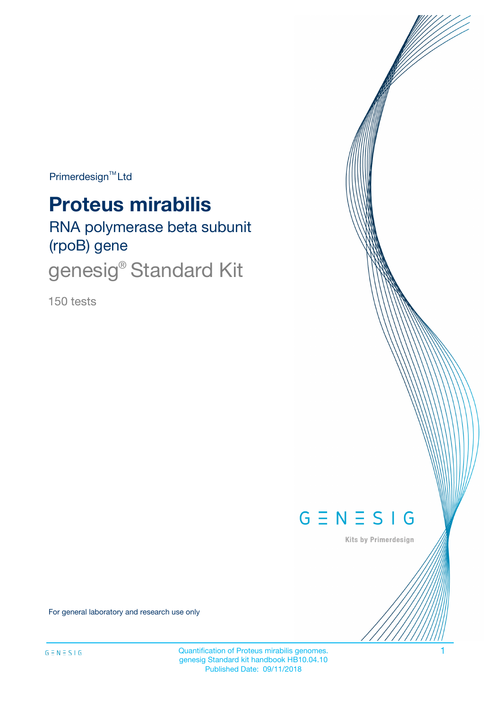$Primerdesign^{TM}$ Ltd

# **Proteus mirabilis**

RNA polymerase beta subunit (rpoB) gene

genesig<sup>®</sup> Standard Kit

150 tests



Kits by Primerdesign

For general laboratory and research use only

Quantification of Proteus mirabilis genomes. 1 genesig Standard kit handbook HB10.04.10 Published Date: 09/11/2018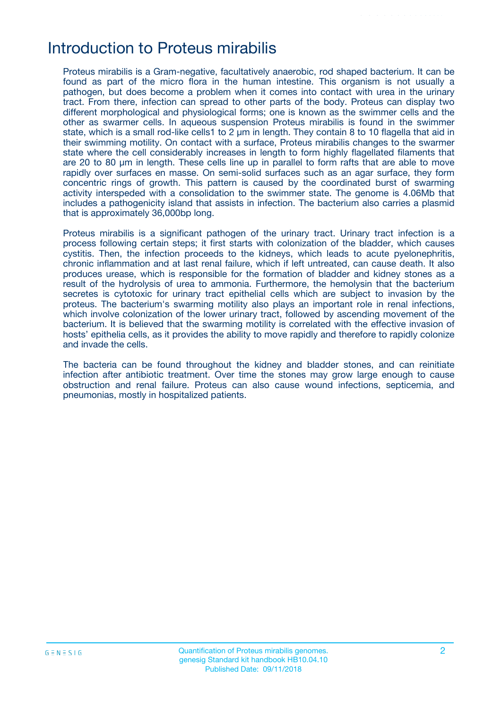## Introduction to Proteus mirabilis

Proteus mirabilis is a Gram-negative, facultatively anaerobic, rod shaped bacterium. It can be found as part of the micro flora in the human intestine. This organism is not usually a pathogen, but does become a problem when it comes into contact with urea in the urinary tract. From there, infection can spread to other parts of the body. Proteus can display two different morphological and physiological forms; one is known as the swimmer cells and the other as swarmer cells. In aqueous suspension Proteus mirabilis is found in the swimmer state, which is a small rod-like cells1 to 2 μm in length. They contain 8 to 10 flagella that aid in their swimming motility. On contact with a surface, Proteus mirabilis changes to the swarmer state where the cell considerably increases in length to form highly flagellated filaments that are 20 to 80 μm in length. These cells line up in parallel to form rafts that are able to move rapidly over surfaces en masse. On semi-solid surfaces such as an agar surface, they form concentric rings of growth. This pattern is caused by the coordinated burst of swarming activity interspeded with a consolidation to the swimmer state. The genome is 4.06Mb that includes a pathogenicity island that assists in infection. The bacterium also carries a plasmid that is approximately 36,000bp long.

Proteus mirabilis is a significant pathogen of the urinary tract. Urinary tract infection is a process following certain steps; it first starts with colonization of the bladder, which causes cystitis. Then, the infection proceeds to the kidneys, which leads to acute pyelonephritis, chronic inflammation and at last renal failure, which if left untreated, can cause death. It also produces urease, which is responsible for the formation of bladder and kidney stones as a result of the hydrolysis of urea to ammonia. Furthermore, the hemolysin that the bacterium secretes is cytotoxic for urinary tract epithelial cells which are subject to invasion by the proteus. The bacterium's swarming motility also plays an important role in renal infections, which involve colonization of the lower urinary tract, followed by ascending movement of the bacterium. It is believed that the swarming motility is correlated with the effective invasion of hosts' epithelia cells, as it provides the ability to move rapidly and therefore to rapidly colonize and invade the cells.

The bacteria can be found throughout the kidney and bladder stones, and can reinitiate infection after antibiotic treatment. Over time the stones may grow large enough to cause obstruction and renal failure. Proteus can also cause wound infections, septicemia, and pneumonias, mostly in hospitalized patients.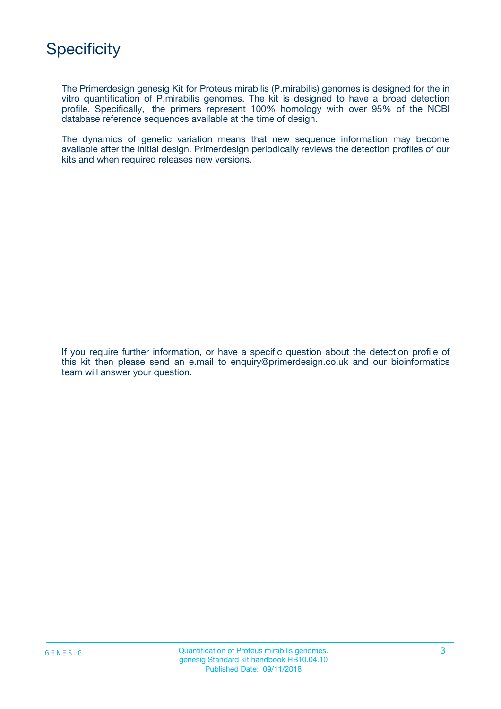

The Primerdesign genesig Kit for Proteus mirabilis (P.mirabilis) genomes is designed for the in vitro quantification of P.mirabilis genomes. The kit is designed to have a broad detection profile. Specifically, the primers represent 100% homology with over 95% of the NCBI database reference sequences available at the time of design.

The dynamics of genetic variation means that new sequence information may become available after the initial design. Primerdesign periodically reviews the detection profiles of our kits and when required releases new versions.

If you require further information, or have a specific question about the detection profile of this kit then please send an e.mail to enquiry@primerdesign.co.uk and our bioinformatics team will answer your question.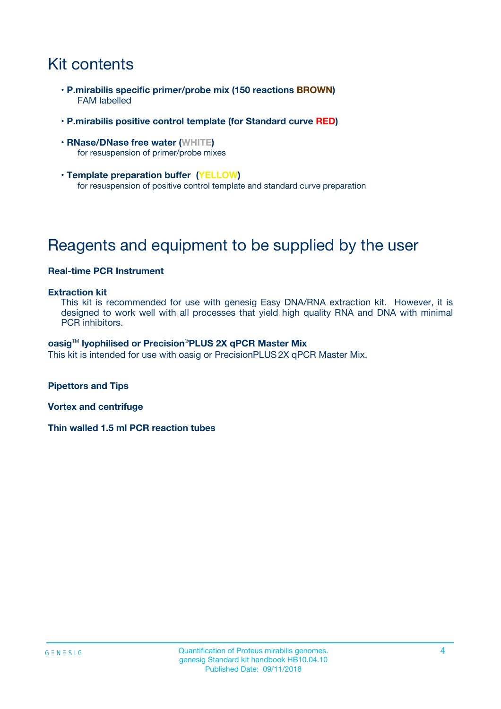## Kit contents

- **P.mirabilis specific primer/probe mix (150 reactions BROWN)** FAM labelled
- **P.mirabilis positive control template (for Standard curve RED)**
- **RNase/DNase free water (WHITE)** for resuspension of primer/probe mixes
- **Template preparation buffer (YELLOW)** for resuspension of positive control template and standard curve preparation

## Reagents and equipment to be supplied by the user

### **Real-time PCR Instrument**

#### **Extraction kit**

This kit is recommended for use with genesig Easy DNA/RNA extraction kit. However, it is designed to work well with all processes that yield high quality RNA and DNA with minimal PCR inhibitors.

#### **oasig**TM **lyophilised or Precision**®**PLUS 2X qPCR Master Mix**

This kit is intended for use with oasig or PrecisionPLUS2X qPCR Master Mix.

**Pipettors and Tips**

**Vortex and centrifuge**

**Thin walled 1.5 ml PCR reaction tubes**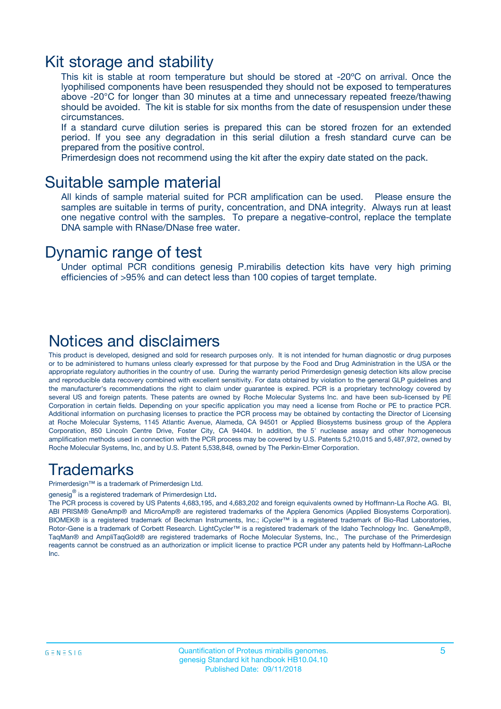### Kit storage and stability

This kit is stable at room temperature but should be stored at -20ºC on arrival. Once the lyophilised components have been resuspended they should not be exposed to temperatures above -20°C for longer than 30 minutes at a time and unnecessary repeated freeze/thawing should be avoided. The kit is stable for six months from the date of resuspension under these circumstances.

If a standard curve dilution series is prepared this can be stored frozen for an extended period. If you see any degradation in this serial dilution a fresh standard curve can be prepared from the positive control.

Primerdesign does not recommend using the kit after the expiry date stated on the pack.

### Suitable sample material

All kinds of sample material suited for PCR amplification can be used. Please ensure the samples are suitable in terms of purity, concentration, and DNA integrity. Always run at least one negative control with the samples. To prepare a negative-control, replace the template DNA sample with RNase/DNase free water.

### Dynamic range of test

Under optimal PCR conditions genesig P.mirabilis detection kits have very high priming efficiencies of >95% and can detect less than 100 copies of target template.

### Notices and disclaimers

This product is developed, designed and sold for research purposes only. It is not intended for human diagnostic or drug purposes or to be administered to humans unless clearly expressed for that purpose by the Food and Drug Administration in the USA or the appropriate regulatory authorities in the country of use. During the warranty period Primerdesign genesig detection kits allow precise and reproducible data recovery combined with excellent sensitivity. For data obtained by violation to the general GLP guidelines and the manufacturer's recommendations the right to claim under guarantee is expired. PCR is a proprietary technology covered by several US and foreign patents. These patents are owned by Roche Molecular Systems Inc. and have been sub-licensed by PE Corporation in certain fields. Depending on your specific application you may need a license from Roche or PE to practice PCR. Additional information on purchasing licenses to practice the PCR process may be obtained by contacting the Director of Licensing at Roche Molecular Systems, 1145 Atlantic Avenue, Alameda, CA 94501 or Applied Biosystems business group of the Applera Corporation, 850 Lincoln Centre Drive, Foster City, CA 94404. In addition, the 5' nuclease assay and other homogeneous amplification methods used in connection with the PCR process may be covered by U.S. Patents 5,210,015 and 5,487,972, owned by Roche Molecular Systems, Inc, and by U.S. Patent 5,538,848, owned by The Perkin-Elmer Corporation.

### Trademarks

Primerdesign™ is a trademark of Primerdesign Ltd.

genesig $^\circledR$  is a registered trademark of Primerdesign Ltd.

The PCR process is covered by US Patents 4,683,195, and 4,683,202 and foreign equivalents owned by Hoffmann-La Roche AG. BI, ABI PRISM® GeneAmp® and MicroAmp® are registered trademarks of the Applera Genomics (Applied Biosystems Corporation). BIOMEK® is a registered trademark of Beckman Instruments, Inc.; iCycler™ is a registered trademark of Bio-Rad Laboratories, Rotor-Gene is a trademark of Corbett Research. LightCycler™ is a registered trademark of the Idaho Technology Inc. GeneAmp®, TaqMan® and AmpliTaqGold® are registered trademarks of Roche Molecular Systems, Inc., The purchase of the Primerdesign reagents cannot be construed as an authorization or implicit license to practice PCR under any patents held by Hoffmann-LaRoche Inc.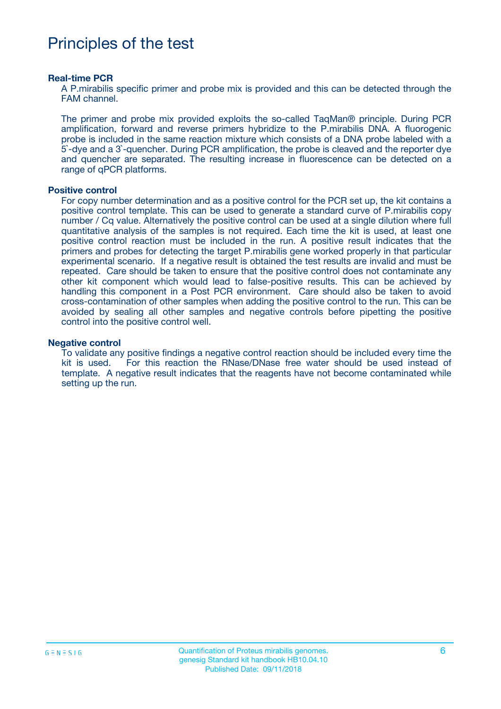## Principles of the test

#### **Real-time PCR**

A P.mirabilis specific primer and probe mix is provided and this can be detected through the FAM channel.

The primer and probe mix provided exploits the so-called TaqMan® principle. During PCR amplification, forward and reverse primers hybridize to the P.mirabilis DNA. A fluorogenic probe is included in the same reaction mixture which consists of a DNA probe labeled with a 5`-dye and a 3`-quencher. During PCR amplification, the probe is cleaved and the reporter dye and quencher are separated. The resulting increase in fluorescence can be detected on a range of qPCR platforms.

#### **Positive control**

For copy number determination and as a positive control for the PCR set up, the kit contains a positive control template. This can be used to generate a standard curve of P.mirabilis copy number / Cq value. Alternatively the positive control can be used at a single dilution where full quantitative analysis of the samples is not required. Each time the kit is used, at least one positive control reaction must be included in the run. A positive result indicates that the primers and probes for detecting the target P.mirabilis gene worked properly in that particular experimental scenario. If a negative result is obtained the test results are invalid and must be repeated. Care should be taken to ensure that the positive control does not contaminate any other kit component which would lead to false-positive results. This can be achieved by handling this component in a Post PCR environment. Care should also be taken to avoid cross-contamination of other samples when adding the positive control to the run. This can be avoided by sealing all other samples and negative controls before pipetting the positive control into the positive control well.

#### **Negative control**

To validate any positive findings a negative control reaction should be included every time the kit is used. For this reaction the RNase/DNase free water should be used instead of template. A negative result indicates that the reagents have not become contaminated while setting up the run.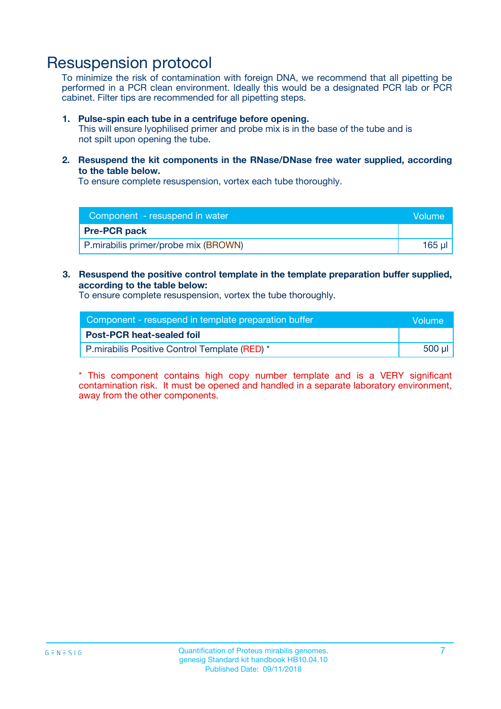## Resuspension protocol

To minimize the risk of contamination with foreign DNA, we recommend that all pipetting be performed in a PCR clean environment. Ideally this would be a designated PCR lab or PCR cabinet. Filter tips are recommended for all pipetting steps.

#### **1. Pulse-spin each tube in a centrifuge before opening.**

This will ensure lyophilised primer and probe mix is in the base of the tube and is not spilt upon opening the tube.

**2. Resuspend the kit components in the RNase/DNase free water supplied, according to the table below.**

To ensure complete resuspension, vortex each tube thoroughly.

| Component - resuspend in water       | Volume |
|--------------------------------------|--------|
| <b>Pre-PCR pack</b>                  |        |
| P.mirabilis primer/probe mix (BROWN) | 165 ul |

#### **3. Resuspend the positive control template in the template preparation buffer supplied, according to the table below:**

To ensure complete resuspension, vortex the tube thoroughly.

| Component - resuspend in template preparation buffer |        |  |
|------------------------------------------------------|--------|--|
| <b>Post-PCR heat-sealed foil</b>                     |        |  |
| P.mirabilis Positive Control Template (RED) *        | 500 µl |  |

\* This component contains high copy number template and is a VERY significant contamination risk. It must be opened and handled in a separate laboratory environment, away from the other components.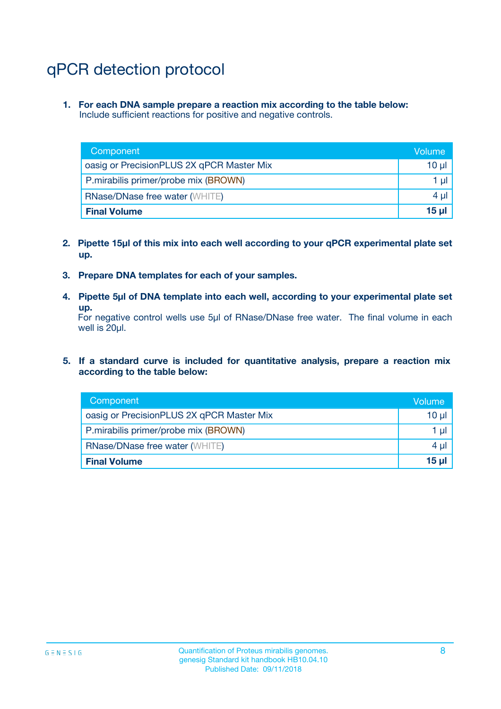## qPCR detection protocol

**1. For each DNA sample prepare a reaction mix according to the table below:** Include sufficient reactions for positive and negative controls.

| Component                                 | Volume   |
|-------------------------------------------|----------|
| oasig or PrecisionPLUS 2X qPCR Master Mix | 10 $\mu$ |
| P.mirabilis primer/probe mix (BROWN)      | 1 $\mu$  |
| <b>RNase/DNase free water (WHITE)</b>     | $4 \mu$  |
| <b>Final Volume</b>                       | $15$ µl  |

- **2. Pipette 15µl of this mix into each well according to your qPCR experimental plate set up.**
- **3. Prepare DNA templates for each of your samples.**
- **4. Pipette 5µl of DNA template into each well, according to your experimental plate set up.**

For negative control wells use 5µl of RNase/DNase free water. The final volume in each well is 20µl.

**5. If a standard curve is included for quantitative analysis, prepare a reaction mix according to the table below:**

| Component                                 | Volume   |
|-------------------------------------------|----------|
| oasig or PrecisionPLUS 2X qPCR Master Mix | 10 µl    |
| P.mirabilis primer/probe mix (BROWN)      | 1 µI     |
| <b>RNase/DNase free water (WHITE)</b>     | $4 \mu$  |
| <b>Final Volume</b>                       | $15 \mu$ |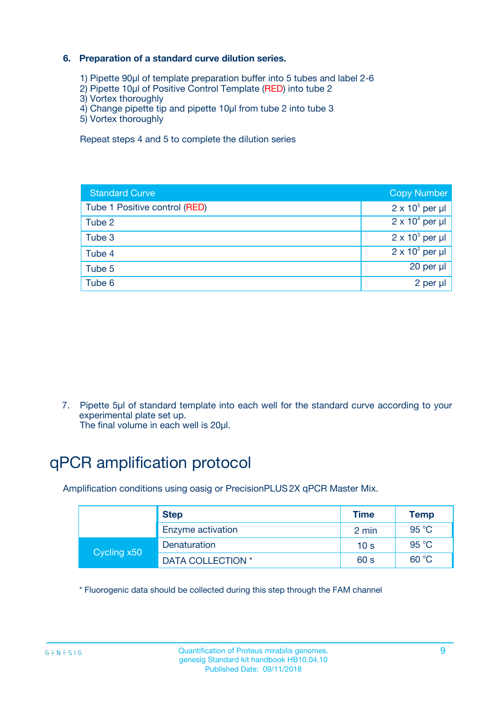### **6. Preparation of a standard curve dilution series.**

- 1) Pipette 90µl of template preparation buffer into 5 tubes and label 2-6
- 2) Pipette 10µl of Positive Control Template (RED) into tube 2
- 3) Vortex thoroughly
- 4) Change pipette tip and pipette 10µl from tube 2 into tube 3
- 5) Vortex thoroughly

Repeat steps 4 and 5 to complete the dilution series

| <b>Standard Curve</b>         | <b>Copy Number</b>     |
|-------------------------------|------------------------|
| Tube 1 Positive control (RED) | $2 \times 10^5$ per µl |
| Tube 2                        | $2 \times 10^4$ per µl |
| Tube 3                        | $2 \times 10^3$ per µl |
| Tube 4                        | $2 \times 10^2$ per µl |
| Tube 5                        | 20 per µl              |
| Tube 6                        | 2 per ul               |

7. Pipette 5µl of standard template into each well for the standard curve according to your experimental plate set up.

The final volume in each well is 20µl.

## qPCR amplification protocol

Amplification conditions using oasig or PrecisionPLUS2X qPCR Master Mix.

|             | <b>Step</b>       | <b>Time</b>     | Temp    |
|-------------|-------------------|-----------------|---------|
|             | Enzyme activation | 2 min           | 95 °C   |
| Cycling x50 | Denaturation      | 10 <sub>s</sub> | 95 $°C$ |
|             | DATA COLLECTION * | 60 s            | 60 °C   |

\* Fluorogenic data should be collected during this step through the FAM channel